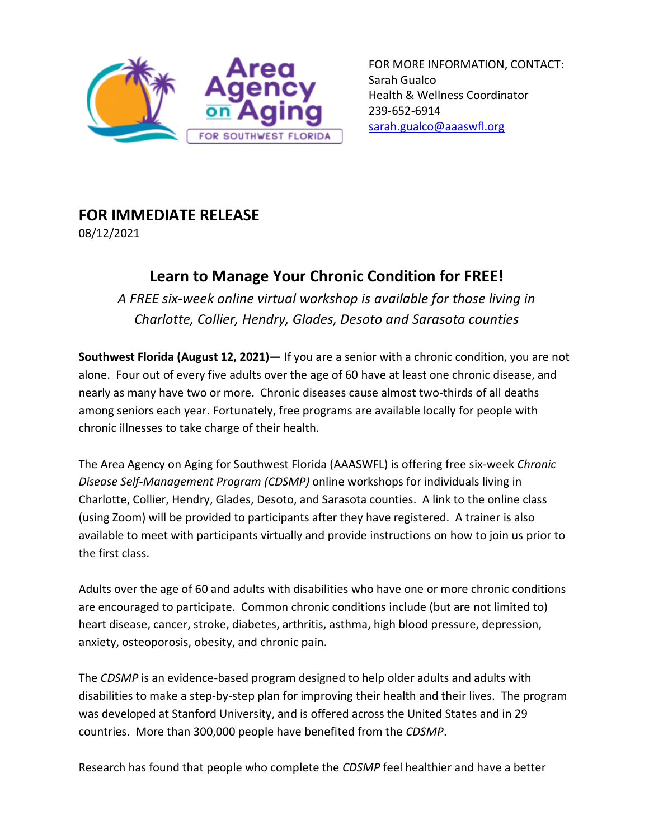

FOR MORE INFORMATION, CONTACT: Sarah Gualco Health & Wellness Coordinator 239-652-6914 [sarah.gualco@aaaswfl.org](mailto:sarah.gualco@aaaswfl.org)

## **FOR IMMEDIATE RELEASE**

08/12/2021

## **Learn to Manage Your Chronic Condition for FREE!**

*A FREE six-week online virtual workshop is available for those living in Charlotte, Collier, Hendry, Glades, Desoto and Sarasota counties*

**Southwest Florida (August 12, 2021)—** If you are a senior with a chronic condition, you are not alone. Four out of every five adults over the age of 60 have at least one chronic disease, and nearly as many have two or more. Chronic diseases cause almost two-thirds of all deaths among seniors each year. Fortunately, free programs are available locally for people with chronic illnesses to take charge of their health.

The Area Agency on Aging for Southwest Florida (AAASWFL) is offering free six-week *Chronic Disease Self-Management Program (CDSMP)* online workshops for individuals living in Charlotte, Collier, Hendry, Glades, Desoto, and Sarasota counties. A link to the online class (using Zoom) will be provided to participants after they have registered. A trainer is also available to meet with participants virtually and provide instructions on how to join us prior to the first class.

Adults over the age of 60 and adults with disabilities who have one or more chronic conditions are encouraged to participate. Common chronic conditions include (but are not limited to) heart disease, cancer, stroke, diabetes, arthritis, asthma, high blood pressure, depression, anxiety, osteoporosis, obesity, and chronic pain.

The *CDSMP* is an evidence-based program designed to help older adults and adults with disabilities to make a step-by-step plan for improving their health and their lives. The program was developed at Stanford University, and is offered across the United States and in 29 countries. More than 300,000 people have benefited from the *CDSMP*.

Research has found that people who complete the *CDSMP* feel healthier and have a better